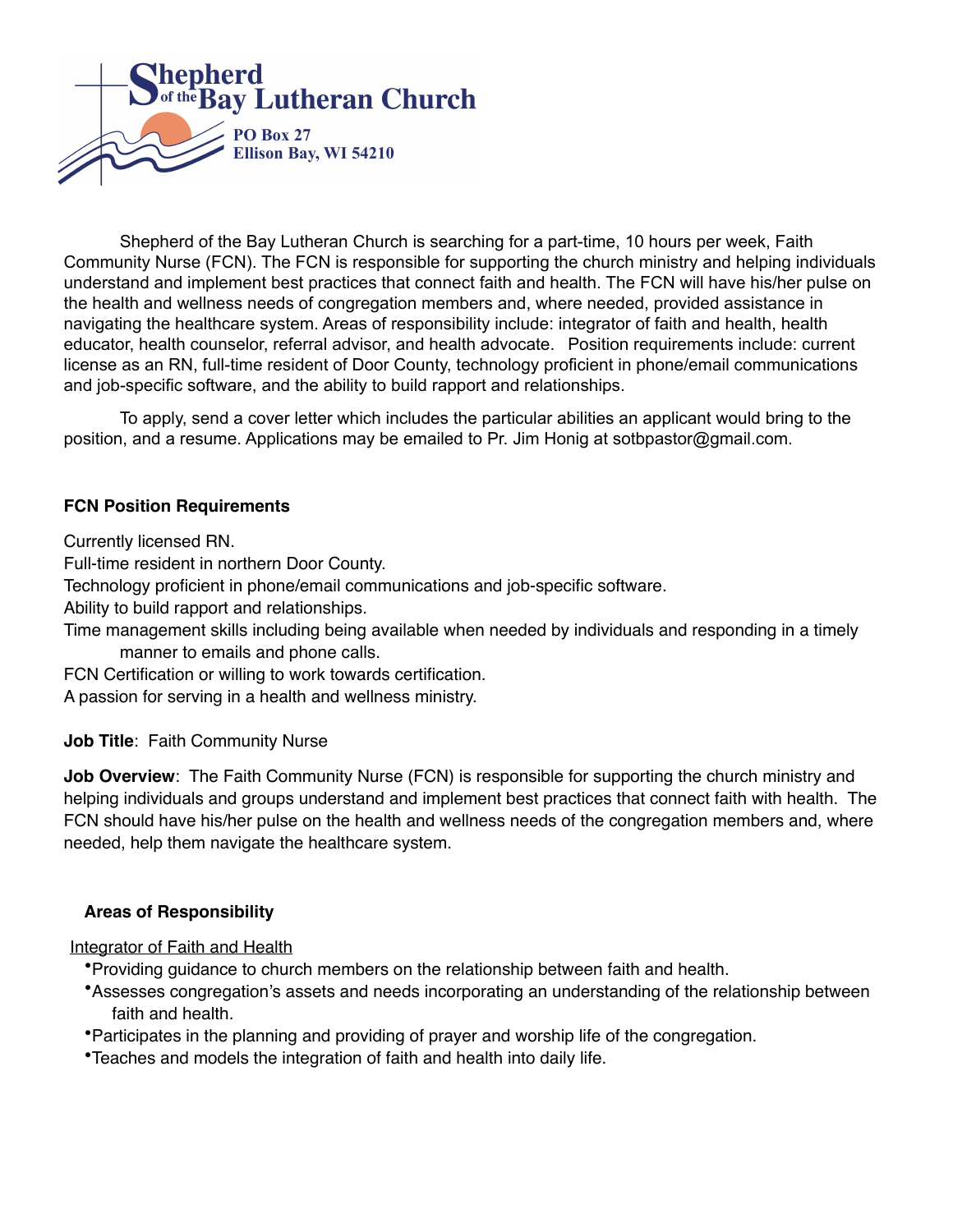

 Shepherd of the Bay Lutheran Church is searching for a part-time, 10 hours per week, Faith Community Nurse (FCN). The FCN is responsible for supporting the church ministry and helping individuals understand and implement best practices that connect faith and health. The FCN will have his/her pulse on the health and wellness needs of congregation members and, where needed, provided assistance in navigating the healthcare system. Areas of responsibility include: integrator of faith and health, health educator, health counselor, referral advisor, and health advocate. Position requirements include: current license as an RN, full-time resident of Door County, technology proficient in phone/email communications and job-specific software, and the ability to build rapport and relationships.

 To apply, send a cover letter which includes the particular abilities an applicant would bring to the position, and a resume. Applications may be emailed to Pr. Jim Honig at sotbpastor@gmail.com.

#### **FCN Position Requirements**

Currently licensed RN.

Full-time resident in northern Door County.

Technology proficient in phone/email communications and job-specific software.

Ability to build rapport and relationships.

Time management skills including being available when needed by individuals and responding in a timely manner to emails and phone calls.

FCN Certification or willing to work towards certification.

A passion for serving in a health and wellness ministry.

**Job Title**: Faith Community Nurse

**Job Overview**: The Faith Community Nurse (FCN) is responsible for supporting the church ministry and helping individuals and groups understand and implement best practices that connect faith with health. The FCN should have his/her pulse on the health and wellness needs of the congregation members and, where needed, help them navigate the healthcare system.

#### **Areas of Responsibility**

Integrator of Faith and Health

- •Providing guidance to church members on the relationship between faith and health.
- •Assesses congregation's assets and needs incorporating an understanding of the relationship between faith and health.
- •Participates in the planning and providing of prayer and worship life of the congregation.
- •Teaches and models the integration of faith and health into daily life.